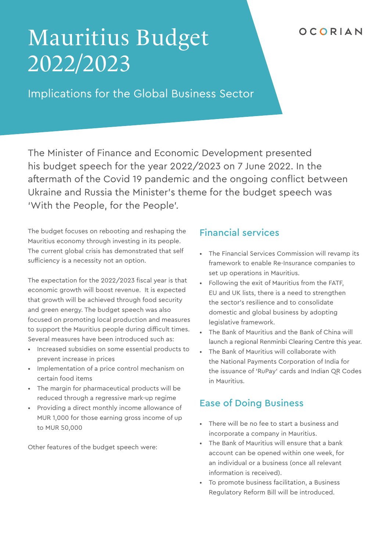## OCORIAN

# Mauritius Budget 2022/2023

Implications for the Global Business Sector

The Minister of Finance and Economic Development presented his budget speech for the year 2022/2023 on 7 June 2022. In the aftermath of the Covid 19 pandemic and the ongoing conflict between Ukraine and Russia the Minister's theme for the budget speech was 'With the People, for the People'.

The budget focuses on rebooting and reshaping the Mauritius economy through investing in its people. The current global crisis has demonstrated that self sufficiency is a necessity not an option.

The expectation for the 2022/2023 fiscal year is that economic growth will boost revenue. It is expected that growth will be achieved through food security and green energy. The budget speech was also focused on promoting local production and measures to support the Mauritius people during difficult times. Several measures have been introduced such as:

- Increased subsidies on some essential products to prevent increase in prices
- Implementation of a price control mechanism on certain food items
- The margin for pharmaceutical products will be reduced through a regressive mark-up regime
- Providing a direct monthly income allowance of MUR 1,000 for those earning gross income of up to MUR 50,000

Other features of the budget speech were:

## Financial services

- The Financial Services Commission will revamp its framework to enable Re-Insurance companies to set up operations in Mauritius.
- Following the exit of Mauritius from the FATF, EU and UK lists, there is a need to strengthen the sector's resilience and to consolidate domestic and global business by adopting legislative framework.
- The Bank of Mauritius and the Bank of China will launch a regional Renminbi Clearing Centre this year.
- The Bank of Mauritius will collaborate with the National Payments Corporation of India for the issuance of 'RuPay' cards and Indian QR Codes in Mauritius.

## Ease of Doing Business

- There will be no fee to start a business and incorporate a company in Mauritius.
- The Bank of Mauritius will ensure that a bank account can be opened within one week, for an individual or a business (once all relevant information is received).
- To promote business facilitation, a Business Regulatory Reform Bill will be introduced.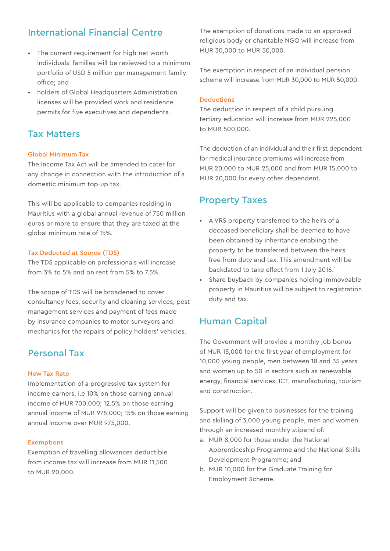## International Financial Centre

- The current requirement for high-net worth individuals' families will be reviewed to a minimum portfolio of USD 5 million per management family office; and
- holders of Global Headquarters Administration licenses will be provided work and residence permits for five executives and dependents.

## Tax Matters

### Global Minimum Tax

The Income Tax Act will be amended to cater for any change in connection with the introduction of a domestic minimum top-up tax.

This will be applicable to companies residing in Mauritius with a global annual revenue of 750 million euros or more to ensure that they are taxed at the global minimum rate of 15%.

### Tax Deducted at Source (TDS)

The TDS applicable on professionals will increase from 3% to 5% and on rent from 5% to 7.5%.

The scope of TDS will be broadened to cover consultancy fees, security and cleaning services, pest management services and payment of fees made by insurance companies to motor surveyors and mechanics for the repairs of policy holders' vehicles.

## Personal Tax

#### New Tax Rate

Implementation of a progressive tax system for income earners, i.e 10% on those earning annual income of MUR 700,000; 12.5% on those earning annual income of MUR 975,000; 15% on those earning annual income over MUR 975,000.

#### Exemptions

Exemption of travelling allowances deductible from income tax will increase from MUR 11,500 to MUR 20,000.

The exemption of donations made to an approved religious body or charitable NGO will increase from MUR 30,000 to MUR 50,000.

The exemption in respect of an individual pension scheme will increase from MUR 30,000 to MUR 50,000.

#### Deductions

The deduction in respect of a child pursuing tertiary education will increase from MUR 225,000 to MUR 500,000.

The deduction of an individual and their first dependent for medical insurance premiums will increase from MUR 20,000 to MUR 25,000 and from MUR 15,000 to MUR 20,000 for every other dependent.

## Property Taxes

- A VRS property transferred to the heirs of a deceased beneficiary shall be deemed to have been obtained by inheritance enabling the property to be transferred between the heirs free from duty and tax. This amendment will be backdated to take effect from 1 July 2016.
- Share buyback by companies holding immoveable property in Mauritius will be subject to registration duty and tax.

## Human Capital

The Government will provide a monthly job bonus of MUR 15,000 for the first year of employment for 10,000 young people, men between 18 and 35 years and women up to 50 in sectors such as renewable energy, financial services, ICT, manufacturing, tourism and construction.

Support will be given to businesses for the training and skilling of 3,000 young people, men and women through an increased monthly stipend of:

- a. MUR 8,000 for those under the National Apprenticeship Programme and the National Skills Development Programme; and
- b. MUR 10,000 for the Graduate Training for Employment Scheme.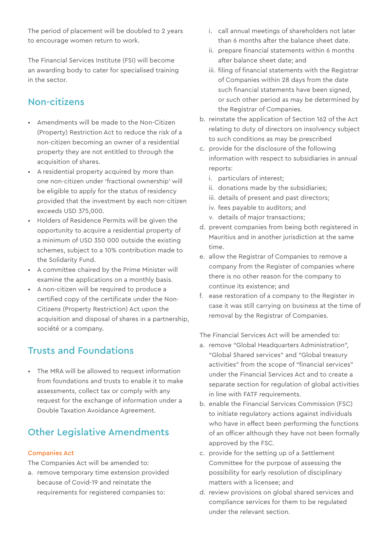The period of placement will be doubled to 2 years to encourage women return to work.

The Financial Services Institute (FSI) will become an awarding body to cater for specialised training in the sector.

## Non-citizens

- Amendments will be made to the Non-Citizen (Property) Restriction Act to reduce the risk of a non-citizen becoming an owner of a residential property they are not entitled to through the acquisition of shares.
- A residential property acquired by more than one non-citizen under 'fractional ownership' will be eligible to apply for the status of residency provided that the investment by each non-citizen exceeds USD 375,000.
- Holders of Residence Permits will be given the opportunity to acquire a residential property of a minimum of USD 350 000 outside the existing schemes, subject to a 10% contribution made to the Solidarity Fund.
- A committee chaired by the Prime Minister will examine the applications on a monthly basis.
- A non-citizen will be required to produce a certified copy of the certificate under the Non-Citizens (Property Restriction) Act upon the acquisition and disposal of shares in a partnership, société or a company.

## Trusts and Foundations

• The MRA will be allowed to request information from foundations and trusts to enable it to make assessments, collect tax or comply with any request for the exchange of information under a Double Taxation Avoidance Agreement.

## Other Legislative Amendments

#### Companies Act

The Companies Act will be amended to:

a. remove temporary time extension provided because of Covid-19 and reinstate the requirements for registered companies to:

- i. call annual meetings of shareholders not later than 6 months after the balance sheet date.
- ii. prepare financial statements within 6 months after balance sheet date; and
- iii. filing of financial statements with the Registrar of Companies within 28 days from the date such financial statements have been signed, or such other period as may be determined by the Registrar of Companies.
- b. reinstate the application of Section 162 of the Act relating to duty of directors on insolvency subject to such conditions as may be prescribed
- c. provide for the disclosure of the following information with respect to subsidiaries in annual reports:
	- i. particulars of interest;
	- ii. donations made by the subsidiaries;
	- iii. details of present and past directors;
	- iv. fees payable to auditors; and
	- v. details of major transactions;
- d. prevent companies from being both registered in Mauritius and in another jurisdiction at the same time.
- e. allow the Registrar of Companies to remove a company from the Register of companies where there is no other reason for the company to continue its existence; and
- f. ease restoration of a company to the Register in case it was still carrying on business at the time of removal by the Registrar of Companies.

The Financial Services Act will be amended to:

- a. remove "Global Headquarters Administration", "Global Shared services" and "Global treasury activities" from the scope of "financial services" under the Financial Services Act and to create a separate section for regulation of global activities in line with FATF requirements.
- b. enable the Financial Services Commission (FSC) to initiate regulatory actions against individuals who have in effect been performing the functions of an officer although they have not been formally approved by the FSC.
- c. provide for the setting up of a Settlement Committee for the purpose of assessing the possibility for early resolution of disciplinary matters with a licensee; and
- d. review provisions on global shared services and compliance services for them to be regulated under the relevant section.